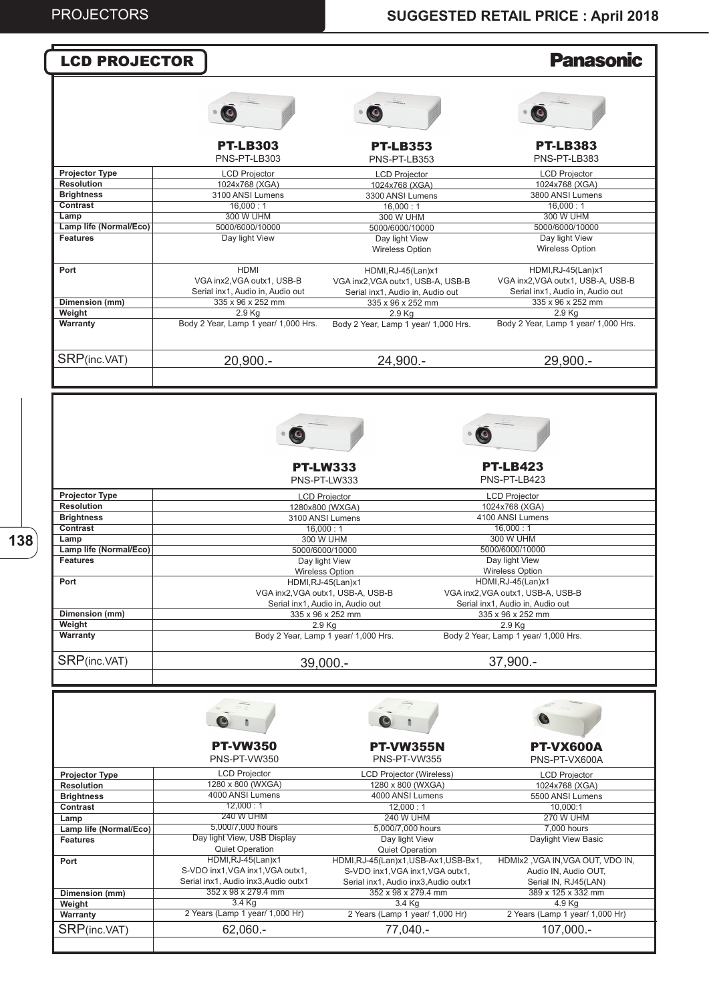**138**

| <b>LCD PROJECTOR</b>                 |                                                             |                                                       | <b>Panasonic</b>                                      |
|--------------------------------------|-------------------------------------------------------------|-------------------------------------------------------|-------------------------------------------------------|
|                                      |                                                             |                                                       |                                                       |
|                                      |                                                             |                                                       |                                                       |
|                                      | $\bullet$                                                   | $\bullet$                                             | $\bullet$                                             |
|                                      | <b>PT-LB303</b><br>PNS-PT-LB303                             | <b>PT-LB353</b><br>PNS-PT-LB353                       | <b>PT-LB383</b><br>PNS-PT-LB383                       |
| <b>Projector Type</b>                | <b>LCD Projector</b>                                        | <b>LCD Projector</b>                                  | <b>LCD Projector</b>                                  |
| <b>Resolution</b>                    | 1024x768 (XGA)                                              | 1024x768 (XGA)                                        | 1024x768 (XGA)                                        |
| <b>Brightness</b>                    | 3100 ANSI Lumens                                            | 3300 ANSI Lumens                                      | 3800 ANSI Lumens                                      |
| Contrast                             | 16,000:1                                                    | 16,000:1                                              | 16,000:1                                              |
| Lamp<br>Lamp life (Normal/Eco)       | <b>300 W UHM</b>                                            | 300 W UHM                                             | <b>300 W UHM</b>                                      |
| <b>Features</b>                      | 5000/6000/10000<br>Day light View                           | 5000/6000/10000<br>Day light View                     | 5000/6000/10000<br>Day light View                     |
|                                      |                                                             | <b>Wireless Option</b>                                | <b>Wireless Option</b>                                |
| Port                                 | <b>HDMI</b>                                                 | HDMI, RJ-45(Lan) x1                                   | HDMI, RJ-45(Lan) x1                                   |
|                                      | VGA inx2, VGA outx1, USB-B                                  | VGA inx2, VGA outx1, USB-A, USB-B                     | VGA inx2, VGA outx1, USB-A, USB-B                     |
|                                      | Serial inx1, Audio in, Audio out                            | Serial inx1. Audio in. Audio out                      | Serial inx1, Audio in, Audio out                      |
| Dimension (mm)<br>Weight             | 335 x 96 x 252 mm<br>2.9 Kg                                 | 335 x 96 x 252 mm<br>$2.9$ Ka                         | 335 x 96 x 252 mm<br>2.9 Kg                           |
| Warranty                             | Body 2 Year, Lamp 1 year/ 1,000 Hrs.                        | Body 2 Year, Lamp 1 year/ 1,000 Hrs.                  | Body 2 Year, Lamp 1 year/ 1,000 Hrs.                  |
|                                      |                                                             |                                                       |                                                       |
| SRP(inc.VAT)                         | 20,900.-                                                    | 24,900.-                                              | 29,900.-                                              |
|                                      |                                                             |                                                       |                                                       |
|                                      |                                                             |                                                       |                                                       |
|                                      |                                                             |                                                       |                                                       |
|                                      |                                                             |                                                       |                                                       |
|                                      |                                                             |                                                       |                                                       |
|                                      | $\bullet$                                                   |                                                       | $\bullet$                                             |
|                                      |                                                             |                                                       |                                                       |
|                                      |                                                             |                                                       |                                                       |
|                                      |                                                             | <b>PT-LW333</b>                                       | <b>PT-LB423</b>                                       |
|                                      |                                                             | PNS-PT-LW333                                          | PNS-PT-LB423                                          |
| <b>Projector Type</b>                |                                                             | <b>LCD Projector</b>                                  | <b>LCD Projector</b>                                  |
| <b>Resolution</b>                    |                                                             | 1280x800 (WXGA)                                       | 1024x768 (XGA)                                        |
| <b>Brightness</b><br><b>Contrast</b> |                                                             | 3100 ANSI Lumens                                      | 4100 ANSI Lumens                                      |
| Lamp                                 |                                                             | 16,000:1<br>300 W UHM                                 | 16,000:1<br>300 W UHM                                 |
| Lamp life (Normal/Eco)               |                                                             | 5000/6000/10000                                       | 5000/6000/10000                                       |
| <b>Features</b>                      |                                                             | Day light View                                        | Day light View                                        |
|                                      |                                                             | <b>Wireless Option</b>                                | Wireless Option                                       |
| Port                                 |                                                             | HDMI,RJ-45(Lan)x1                                     | HDMI, RJ-45(Lan) x1                                   |
|                                      |                                                             | VGA inx2, VGA outx1, USB-A, USB-B                     | VGA inx2, VGA outx1, USB-A, USB-B                     |
| Dimension (mm)                       |                                                             | Serial inx1, Audio in, Audio out<br>335 x 96 x 252 mm | Serial inx1, Audio in, Audio out<br>335 x 96 x 252 mm |
| Weight                               |                                                             | 2.9 Kg                                                | 2.9 Kg                                                |
| Warranty                             |                                                             | Body 2 Year, Lamp 1 year/ 1,000 Hrs.                  | Body 2 Year, Lamp 1 year/ 1,000 Hrs.                  |
|                                      |                                                             |                                                       |                                                       |
| SRP(inc.VAT)                         |                                                             | 39,000.-                                              | 37,900.-                                              |
|                                      |                                                             |                                                       |                                                       |
|                                      |                                                             |                                                       |                                                       |
|                                      |                                                             |                                                       |                                                       |
|                                      |                                                             |                                                       |                                                       |
|                                      |                                                             |                                                       |                                                       |
|                                      |                                                             |                                                       |                                                       |
|                                      | <b>PT-VW350</b>                                             | <b>PT-VW355N</b>                                      | <b>PT-VX600A</b>                                      |
|                                      | PNS-PT-VW350                                                | PNS-PT-VW355                                          | PNS-PT-VX600A                                         |
| <b>Projector Type</b>                | <b>LCD Projector</b>                                        | <b>LCD Projector (Wireless)</b>                       | <b>LCD Projector</b>                                  |
| <b>Resolution</b>                    | 1280 x 800 (WXGA)                                           | 1280 x 800 (WXGA)                                     | 1024x768 (XGA)                                        |
| <b>Brightness</b>                    | 4000 ANSI Lumens                                            | 4000 ANSI Lumens                                      | 5500 ANSI Lumens                                      |
| Contrast<br>Lamp                     | 12,000:1<br><b>240 W UHM</b>                                | 12,000:1<br><b>240 W UHM</b>                          | 10,000:1<br><b>270 W UHM</b>                          |
| Lamp life (Normal/Eco)               | 5,000/7,000 hours                                           | 5,000/7,000 hours                                     | 7.000 hours                                           |
| <b>Features</b>                      | Day light View, USB Display                                 | Day light View                                        | Daylight View Basic                                   |
|                                      | Quiet Operation                                             | <b>Quiet Operation</b>                                |                                                       |
| Port                                 | HDMI, RJ-45(Lan) x1                                         | HDMI, RJ-45(Lan)x1, USB-Ax1, USB-Bx1,                 | HDMIx2, VGA IN, VGA OUT, VDO IN,                      |
|                                      | S-VDO inx1, VGA inx1, VGA outx1,                            | S-VDO inx1, VGA inx1, VGA outx1,                      | Audio IN, Audio OUT,                                  |
|                                      | Serial inx1, Audio inx3, Audio outx1<br>352 x 98 x 279.4 mm | Serial inx1, Audio inx3, Audio outx1                  | Serial IN, RJ45(LAN)                                  |
| Dimension (mm)<br>Weight             | 3.4 Kg                                                      | 352 x 98 x 279.4 mm<br>3.4 Kg                         | 389 x 125 x 332 mm<br>4.9 Kg                          |
| Warranty                             | 2 Years (Lamp 1 year/ 1,000 Hr)                             | 2 Years (Lamp 1 year/ 1,000 Hr)                       | 2 Years (Lamp 1 year/ 1,000 Hr)                       |
|                                      |                                                             |                                                       |                                                       |
| SRP(inc.VAT)                         | 62,060.-                                                    | 77,040.-                                              | 107,000.-                                             |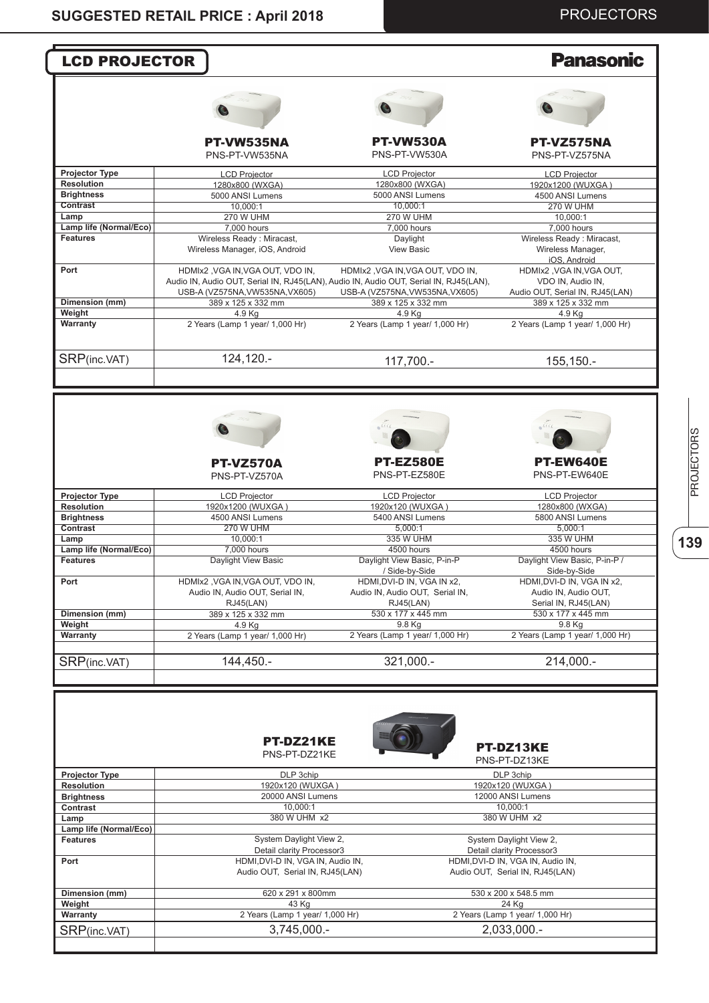## PROJECTORS

|                                           | <b>LCD PROJECTOR</b>                                                                                                       |                                                       | <b>Panasonic</b>                                                     |
|-------------------------------------------|----------------------------------------------------------------------------------------------------------------------------|-------------------------------------------------------|----------------------------------------------------------------------|
|                                           |                                                                                                                            |                                                       |                                                                      |
|                                           |                                                                                                                            |                                                       |                                                                      |
|                                           | PT-VW535NA<br>PNS-PT-VW535NA                                                                                               | <b>PT-VW530A</b><br>PNS-PT-VW530A                     | PT-VZ575NA<br>PNS-PT-VZ575NA                                         |
| <b>Projector Type</b>                     | <b>LCD Projector</b>                                                                                                       | <b>LCD Projector</b>                                  | <b>LCD Projector</b>                                                 |
| <b>Resolution</b>                         | 1280x800 (WXGA)                                                                                                            | 1280x800 (WXGA)                                       | 1920x1200 (WUXGA)                                                    |
| <b>Brightness</b>                         | 5000 ANSI Lumens                                                                                                           | 5000 ANSI Lumens                                      | 4500 ANSI Lumens                                                     |
| Contrast                                  | 10,000:1                                                                                                                   | 10.000:1                                              | <b>270 W UHM</b>                                                     |
| Lamp                                      | <b>270 W UHM</b>                                                                                                           | <b>270 W UHM</b>                                      | 10,000:1                                                             |
| Lamp life (Normal/Eco)<br><b>Features</b> | 7,000 hours<br>Wireless Ready: Miracast,                                                                                   | 7,000 hours<br>Daylight                               | 7,000 hours<br>Wireless Ready: Miracast,                             |
|                                           | Wireless Manager, iOS, Android                                                                                             | <b>View Basic</b>                                     | Wireless Manager,<br>iOS, Android                                    |
| Port                                      | HDMIx2 , VGA IN, VGA OUT, VDO IN,<br>Audio IN, Audio OUT, Serial IN, RJ45(LAN), Audio IN, Audio OUT, Serial IN, RJ45(LAN), | HDMIx2, VGA IN, VGA OUT, VDO IN,                      | HDMIx2, VGA IN, VGA OUT,<br>VDO IN, Audio IN,                        |
| Dimension (mm)                            | USB-A (VZ575NA, VW535NA, VX605)<br>389 x 125 x 332 mm                                                                      | USB-A (VZ575NA, VW535NA, VX605)<br>389 x 125 x 332 mm | Audio OUT, Serial IN, RJ45(LAN)<br>389 x 125 x 332 mm                |
| Weight                                    | 4.9 Kg                                                                                                                     | 4.9 Kg                                                | 4.9 Kg                                                               |
| Warranty                                  | 2 Years (Lamp 1 year/ 1,000 Hr)                                                                                            | 2 Years (Lamp 1 year/ 1,000 Hr)                       | 2 Years (Lamp 1 year/ 1,000 Hr)                                      |
| SRP(inc.VAT)                              | 124,120.-                                                                                                                  | 117,700.-                                             | 155,150.-                                                            |
|                                           |                                                                                                                            |                                                       |                                                                      |
|                                           | <b>PT-VZ570A</b><br>PNS-PT-VZ570A                                                                                          | <b>PT-EZ580E</b><br>PNS-PT-EZ580E                     | PT-EW640E<br>PNS-PT-EW640E                                           |
| <b>Projector Type</b>                     | <b>LCD Projector</b>                                                                                                       | <b>LCD Projector</b>                                  | <b>LCD Projector</b>                                                 |
| <b>Resolution</b>                         | 1920x1200 (WUXGA)                                                                                                          | 1920x120 (WUXGA)                                      | 1280x800 (WXGA)                                                      |
| <b>Brightness</b>                         | 4500 ANSI Lumens                                                                                                           | 5400 ANSI Lumens                                      | 5800 ANSI Lumens                                                     |
| Contrast                                  | <b>270 W UHM</b>                                                                                                           | 5,000:1                                               | 5,000:1                                                              |
| Lamp<br>Lamp life (Normal/Eco)            | 10.000:1<br>7,000 hours                                                                                                    | 335 W UHM<br>4500 hours                               | 335 W UHM<br>4500 hours                                              |
|                                           | Daylight View Basic                                                                                                        | Daylight View Basic, P-in-P                           | Daylight View Basic, P-in-P /                                        |
|                                           |                                                                                                                            |                                                       | Side-by-Side                                                         |
| <b>Features</b>                           |                                                                                                                            | / Side-by-Side                                        |                                                                      |
| Port                                      | HDMIx2, VGA IN, VGA OUT, VDO IN,                                                                                           | HDMI, DVI-D IN, VGA IN x2,                            | HDMI, DVI-D IN, VGA IN x2,                                           |
|                                           | Audio IN, Audio OUT, Serial IN,                                                                                            | Audio IN, Audio OUT, Serial IN,                       | Audio IN, Audio OUT,                                                 |
|                                           | RJ45(LAN)                                                                                                                  | RJ45(LAN)                                             | Serial IN, RJ45(LAN)                                                 |
| Dimension (mm)                            | 389 x 125 x 332 mm                                                                                                         | 530 x 177 x 445 mm                                    | 530 x 177 x 445 mm                                                   |
| Weight                                    | 4.9 Kg                                                                                                                     | 9.8 Kg                                                | 9.8 Kg                                                               |
|                                           | 2 Years (Lamp 1 year/ 1,000 Hr)                                                                                            | 2 Years (Lamp 1 year/ 1,000 Hr)                       | 2 Years (Lamp 1 year/ 1,000 Hr)                                      |
| Warranty                                  |                                                                                                                            |                                                       |                                                                      |
| SRP(inc.VAT)                              | 144,450.-<br><b>PT-DZ21KE</b><br>PNS-PT-DZ21KE                                                                             | 321,000 .-                                            | 214,000 .-<br><b>PT-DZ13KE</b>                                       |
| <b>Projector Type</b>                     | DLP 3chip                                                                                                                  |                                                       | PNS-PT-DZ13KE<br>DLP 3chip                                           |
| <b>Resolution</b>                         | 1920x120 (WUXGA)                                                                                                           |                                                       | 1920x120 (WUXGA)                                                     |
| <b>Brightness</b>                         | 20000 ANSI Lumens                                                                                                          |                                                       | 12000 ANSI Lumens                                                    |
| Contrast                                  | 10,000:1                                                                                                                   |                                                       | 10,000:1                                                             |
| Lamp                                      | 380 W UHM x2                                                                                                               |                                                       | 380 W UHM x2                                                         |
| Lamp life (Normal/Eco)                    |                                                                                                                            |                                                       |                                                                      |
| <b>Features</b>                           | System Daylight View 2,<br>Detail clarity Processor3                                                                       |                                                       | System Daylight View 2,<br>Detail clarity Processor3                 |
| Port                                      | HDMI, DVI-D IN, VGA IN, Audio IN,<br>Audio OUT, Serial IN, RJ45(LAN)                                                       |                                                       | HDMI, DVI-D IN, VGA IN, Audio IN,<br>Audio OUT, Serial IN, RJ45(LAN) |
| Dimension (mm)                            | 620 x 291 x 800mm                                                                                                          |                                                       | 530 x 200 x 548.5 mm                                                 |
| Weight                                    | 43 Kg                                                                                                                      |                                                       | 24 Kg                                                                |
| Warranty                                  | 2 Years (Lamp 1 year/ 1,000 Hr)                                                                                            |                                                       | 2 Years (Lamp 1 year/ 1,000 Hr)                                      |

**139**PROJECTORS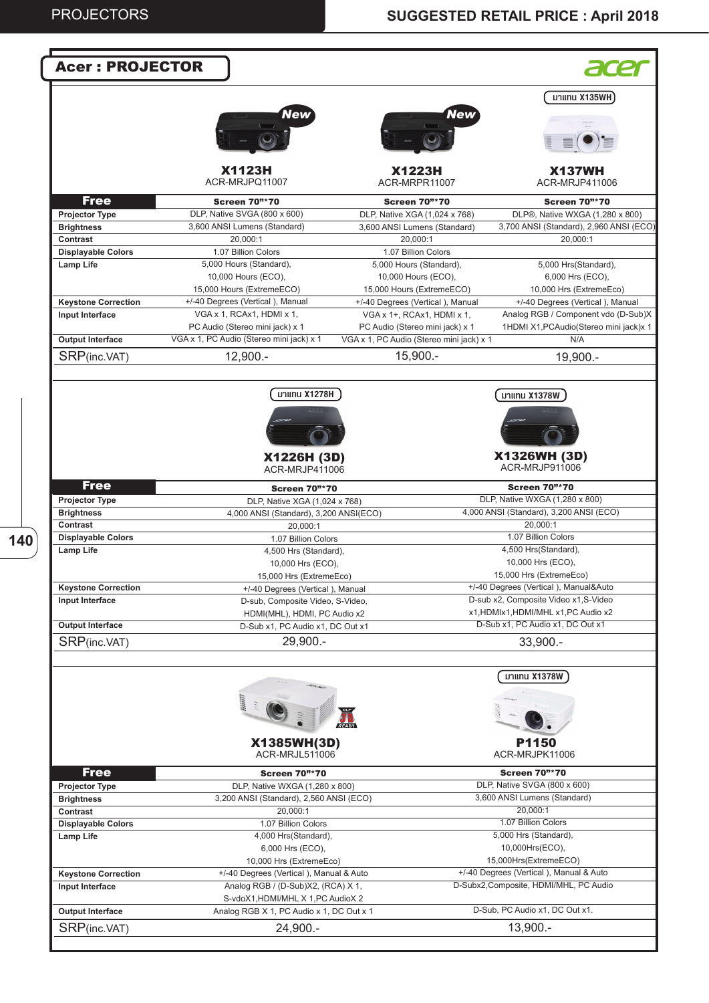**140**

| <b>Acer: PROJECTOR</b>                  |                                                      |                                                |                                                              |
|-----------------------------------------|------------------------------------------------------|------------------------------------------------|--------------------------------------------------------------|
|                                         |                                                      |                                                | มาแทน X135WH                                                 |
|                                         | New                                                  | <b>New</b>                                     |                                                              |
|                                         |                                                      |                                                |                                                              |
|                                         | <b>X1123H</b><br>ACR-MRJPQ11007                      | <b>X1223H</b><br>ACR-MRPR11007                 | <b>X137WH</b><br>ACR-MRJP411006                              |
| <b>Free</b>                             | <b>Screen 70"*70</b>                                 | <b>Screen 70"*70</b>                           | <b>Screen 70"*70</b>                                         |
| <b>Projector Type</b>                   | DLP, Native SVGA (800 x 600)                         | DLP, Native XGA (1,024 x 768)                  | DLP®, Native WXGA (1,280 x 800)                              |
| <b>Brightness</b>                       | 3,600 ANSI Lumens (Standard)                         | 3,600 ANSI Lumens (Standard)                   | 3,700 ANSI (Standard), 2,960 ANSI (ECO)                      |
| Contrast                                | 20,000:1                                             | 20,000:1                                       | 20,000:1                                                     |
| <b>Displayable Colors</b>               | 1.07 Billion Colors                                  | 1.07 Billion Colors                            |                                                              |
| Lamp Life                               | 5,000 Hours (Standard),<br>10,000 Hours (ECO),       | 5,000 Hours (Standard),<br>10,000 Hours (ECO), | 5,000 Hrs(Standard),<br>6,000 Hrs (ECO),                     |
|                                         | 15,000 Hours (ExtremeECO)                            | 15,000 Hours (ExtremeECO)                      | 10,000 Hrs (ExtremeEco)                                      |
| <b>Keystone Correction</b>              | +/-40 Degrees (Vertical), Manual                     | +/-40 Degrees (Vertical), Manual               | +/-40 Degrees (Vertical), Manual                             |
| Input Interface                         | VGA x 1, RCAx1, HDMI x 1,                            | VGA x 1+, RCAx1, HDMI x 1,                     | Analog RGB / Component vdo (D-Sub)X                          |
|                                         | PC Audio (Stereo mini jack) x 1                      | PC Audio (Stereo mini jack) x 1                | 1HDMI X1, PCAudio(Stereo mini jack)x 1                       |
| <b>Output Interface</b>                 | VGA x 1, PC Audio (Stereo mini jack) x 1             | VGA x 1, PC Audio (Stereo mini jack) x 1       | N/A                                                          |
| SRP(inc.VAT)                            | $12,900. -$                                          | $15,900. -$                                    | $19,900. -$                                                  |
|                                         | มาแทน X1278H<br>X1226H (3D)<br>ACR-MRJP411006        |                                                | มาแทน X1378W<br>X1326WH (3D)<br>ACR-MRJP911006               |
| <b>Free</b>                             | <b>Screen 70"*70</b>                                 |                                                | <b>Screen 70"*70</b>                                         |
| <b>Projector Type</b>                   | DLP, Native XGA (1,024 x 768)                        |                                                | DLP, Native WXGA (1,280 x 800)                               |
| <b>Brightness</b>                       | 4,000 ANSI (Standard), 3,200 ANSI(ECO)               |                                                | 4,000 ANSI (Standard), 3,200 ANSI (ECO)                      |
| Contrast                                | 20,000:1                                             |                                                | 20,000:1                                                     |
| <b>Displayable Colors</b>               | 1.07 Billion Colors                                  |                                                | 1.07 Billion Colors                                          |
| Lamp Life                               | 4,500 Hrs (Standard),                                |                                                | 4,500 Hrs(Standard),<br>10,000 Hrs (ECO),                    |
|                                         | 10,000 Hrs (ECO),<br>15,000 Hrs (ExtremeEco)         |                                                | 15,000 Hrs (ExtremeEco)                                      |
| <b>Keystone Correction</b>              | +/-40 Degrees (Vertical), Manual                     |                                                | +/-40 Degrees (Vertical), Manual&Auto                        |
| Input Interface                         | D-sub, Composite Video, S-Video,                     |                                                | D-sub x2, Composite Video x1, S-Video                        |
|                                         | HDMI(MHL), HDMI, PC Audio x2                         |                                                | x1,HDMIx1,HDMI/MHL x1,PC Audio x2                            |
| <b>Output Interface</b>                 | D-Sub x1, PC Audio x1, DC Out x1                     |                                                | D-Sub x1, PC Audio x1, DC Out x1                             |
| SRP(inc.VAT)                            | 29,900.-                                             |                                                | $33,900. -$                                                  |
|                                         |                                                      |                                                | มาแทน X1378W                                                 |
|                                         | <b>William</b>                                       |                                                |                                                              |
|                                         | X1385WH(3D)<br>ACR-MRJL511006                        |                                                | P1150<br>ACR-MRJPK11006                                      |
| <b>Free</b>                             | <b>Screen 70"*70</b>                                 |                                                | <b>Screen 70"*70</b>                                         |
| Projector Type                          | DLP, Native WXGA (1,280 x 800)                       |                                                | DLP, Native SVGA (800 x 600)<br>3,600 ANSI Lumens (Standard) |
| <b>Brightness</b><br>Contrast           | 3,200 ANSI (Standard), 2,560 ANSI (ECO)<br>20,000:1  |                                                | 20,000:1                                                     |
| <b>Displayable Colors</b>               | 1.07 Billion Colors                                  |                                                | 1.07 Billion Colors                                          |
| Lamp Life                               | 4,000 Hrs(Standard),                                 |                                                | 5,000 Hrs (Standard),                                        |
|                                         | 6,000 Hrs (ECO),                                     |                                                | 10,000Hrs(ECO),                                              |
|                                         | 10,000 Hrs (ExtremeEco)                              |                                                | 15,000Hrs(ExtremeECO)                                        |
| <b>Keystone Correction</b>              | +/-40 Degrees (Vertical), Manual & Auto              |                                                | +/-40 Degrees (Vertical), Manual & Auto                      |
|                                         |                                                      |                                                | D-Subx2, Composite, HDMI/MHL, PC Audio                       |
| Input Interface                         | Analog RGB / (D-Sub)X2, (RCA) X 1,                   |                                                |                                                              |
|                                         | S-vdoX1, HDMI/MHL X 1, PC AudioX 2                   |                                                |                                                              |
| <b>Output Interface</b><br>SRP(inc.VAT) | Analog RGB X 1, PC Audio x 1, DC Out x 1<br>24,900.- |                                                | D-Sub, PC Audio x1, DC Out x1.<br>13,900.-                   |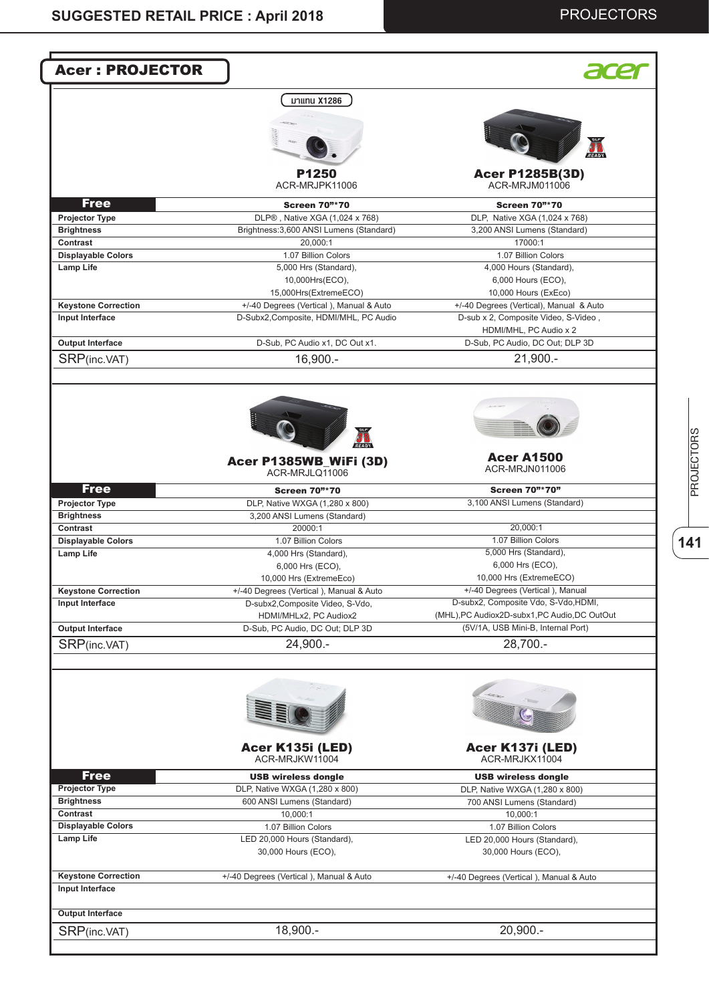## PROJECTORS

| <b>Acer: PROJECTOR</b>                                       |                                                                                                                                                                                                                                                                                                                                                                                                                                                                                                                                                                               |
|--------------------------------------------------------------|-------------------------------------------------------------------------------------------------------------------------------------------------------------------------------------------------------------------------------------------------------------------------------------------------------------------------------------------------------------------------------------------------------------------------------------------------------------------------------------------------------------------------------------------------------------------------------|
| มาแทน X1286                                                  |                                                                                                                                                                                                                                                                                                                                                                                                                                                                                                                                                                               |
|                                                              |                                                                                                                                                                                                                                                                                                                                                                                                                                                                                                                                                                               |
|                                                              |                                                                                                                                                                                                                                                                                                                                                                                                                                                                                                                                                                               |
|                                                              | READY                                                                                                                                                                                                                                                                                                                                                                                                                                                                                                                                                                         |
|                                                              | <b>Acer P1285B(3D)</b>                                                                                                                                                                                                                                                                                                                                                                                                                                                                                                                                                        |
| ACR-MRJPK11006                                               | ACR-MRJM011006                                                                                                                                                                                                                                                                                                                                                                                                                                                                                                                                                                |
| <b>Screen 70"*70</b>                                         | <b>Screen 70"*70</b>                                                                                                                                                                                                                                                                                                                                                                                                                                                                                                                                                          |
| DLP®, Native XGA (1,024 x 768)                               | DLP, Native XGA (1,024 x 768)                                                                                                                                                                                                                                                                                                                                                                                                                                                                                                                                                 |
|                                                              | 3,200 ANSI Lumens (Standard)                                                                                                                                                                                                                                                                                                                                                                                                                                                                                                                                                  |
|                                                              | 17000:1<br>1.07 Billion Colors                                                                                                                                                                                                                                                                                                                                                                                                                                                                                                                                                |
|                                                              | 4,000 Hours (Standard),                                                                                                                                                                                                                                                                                                                                                                                                                                                                                                                                                       |
|                                                              | 6,000 Hours (ECO),                                                                                                                                                                                                                                                                                                                                                                                                                                                                                                                                                            |
|                                                              | 10,000 Hours (ExEco)                                                                                                                                                                                                                                                                                                                                                                                                                                                                                                                                                          |
|                                                              | +/-40 Degrees (Vertical), Manual & Auto                                                                                                                                                                                                                                                                                                                                                                                                                                                                                                                                       |
|                                                              | D-sub x 2, Composite Video, S-Video,                                                                                                                                                                                                                                                                                                                                                                                                                                                                                                                                          |
|                                                              | HDMI/MHL, PC Audio x 2                                                                                                                                                                                                                                                                                                                                                                                                                                                                                                                                                        |
| D-Sub, PC Audio x1, DC Out x1.                               | D-Sub, PC Audio, DC Out; DLP 3D                                                                                                                                                                                                                                                                                                                                                                                                                                                                                                                                               |
|                                                              | $21,900. -$                                                                                                                                                                                                                                                                                                                                                                                                                                                                                                                                                                   |
|                                                              |                                                                                                                                                                                                                                                                                                                                                                                                                                                                                                                                                                               |
|                                                              |                                                                                                                                                                                                                                                                                                                                                                                                                                                                                                                                                                               |
|                                                              |                                                                                                                                                                                                                                                                                                                                                                                                                                                                                                                                                                               |
| Acer P1385WB_WiFi (3D)                                       | <b>Acer A1500</b><br>ACR-MRJN011006                                                                                                                                                                                                                                                                                                                                                                                                                                                                                                                                           |
|                                                              |                                                                                                                                                                                                                                                                                                                                                                                                                                                                                                                                                                               |
| <b>Screen 70"*70</b>                                         | <b>Screen 70"*70"</b>                                                                                                                                                                                                                                                                                                                                                                                                                                                                                                                                                         |
| DLP, Native WXGA (1,280 x 800)                               | 3,100 ANSI Lumens (Standard)                                                                                                                                                                                                                                                                                                                                                                                                                                                                                                                                                  |
|                                                              |                                                                                                                                                                                                                                                                                                                                                                                                                                                                                                                                                                               |
|                                                              | 20,000:1                                                                                                                                                                                                                                                                                                                                                                                                                                                                                                                                                                      |
|                                                              | 1.07 Billion Colors                                                                                                                                                                                                                                                                                                                                                                                                                                                                                                                                                           |
|                                                              | 5,000 Hrs (Standard),<br>6,000 Hrs (ECO),                                                                                                                                                                                                                                                                                                                                                                                                                                                                                                                                     |
|                                                              | 10,000 Hrs (ExtremeECO)                                                                                                                                                                                                                                                                                                                                                                                                                                                                                                                                                       |
|                                                              | +/-40 Degrees (Vertical), Manual                                                                                                                                                                                                                                                                                                                                                                                                                                                                                                                                              |
|                                                              | D-subx2, Composite Vdo, S-Vdo, HDMI,                                                                                                                                                                                                                                                                                                                                                                                                                                                                                                                                          |
|                                                              | (MHL), PC Audiox2D-subx1, PC Audio, DC OutOut                                                                                                                                                                                                                                                                                                                                                                                                                                                                                                                                 |
|                                                              | (5V/1A, USB Mini-B, Internal Port)                                                                                                                                                                                                                                                                                                                                                                                                                                                                                                                                            |
|                                                              |                                                                                                                                                                                                                                                                                                                                                                                                                                                                                                                                                                               |
|                                                              | 28,700.-                                                                                                                                                                                                                                                                                                                                                                                                                                                                                                                                                                      |
|                                                              |                                                                                                                                                                                                                                                                                                                                                                                                                                                                                                                                                                               |
|                                                              |                                                                                                                                                                                                                                                                                                                                                                                                                                                                                                                                                                               |
|                                                              | <b>CONTROLLED</b>                                                                                                                                                                                                                                                                                                                                                                                                                                                                                                                                                             |
| Acer K135i (LED)<br>ACR-MRJKW11004                           | Acer K137i (LED)<br>ACR-MRJKX11004                                                                                                                                                                                                                                                                                                                                                                                                                                                                                                                                            |
|                                                              |                                                                                                                                                                                                                                                                                                                                                                                                                                                                                                                                                                               |
| <b>USB wireless dongle</b><br>DLP, Native WXGA (1,280 x 800) | <b>USB wireless dongle</b><br>DLP, Native WXGA (1,280 x 800)                                                                                                                                                                                                                                                                                                                                                                                                                                                                                                                  |
| 600 ANSI Lumens (Standard)                                   | 700 ANSI Lumens (Standard)                                                                                                                                                                                                                                                                                                                                                                                                                                                                                                                                                    |
| 10,000:1                                                     | 10,000:1                                                                                                                                                                                                                                                                                                                                                                                                                                                                                                                                                                      |
| 1.07 Billion Colors                                          | 1.07 Billion Colors                                                                                                                                                                                                                                                                                                                                                                                                                                                                                                                                                           |
| LED 20,000 Hours (Standard),<br>30,000 Hours (ECO),          | LED 20,000 Hours (Standard),<br>30,000 Hours (ECO),                                                                                                                                                                                                                                                                                                                                                                                                                                                                                                                           |
|                                                              |                                                                                                                                                                                                                                                                                                                                                                                                                                                                                                                                                                               |
| +/-40 Degrees (Vertical), Manual & Auto                      | +/-40 Degrees (Vertical), Manual & Auto                                                                                                                                                                                                                                                                                                                                                                                                                                                                                                                                       |
|                                                              |                                                                                                                                                                                                                                                                                                                                                                                                                                                                                                                                                                               |
|                                                              | P1250<br>Brightness: 3,600 ANSI Lumens (Standard)<br>20.000:1<br>1.07 Billion Colors<br>5,000 Hrs (Standard),<br>10,000Hrs(ECO),<br>15,000Hrs(ExtremeECO)<br>+/-40 Degrees (Vertical), Manual & Auto<br>D-Subx2,Composite, HDMI/MHL, PC Audio<br>16,900.-<br>ACR-MRJLQ11006<br>3,200 ANSI Lumens (Standard)<br>20000:1<br>1.07 Billion Colors<br>4,000 Hrs (Standard),<br>6,000 Hrs (ECO),<br>10,000 Hrs (ExtremeEco)<br>+/-40 Degrees (Vertical), Manual & Auto<br>D-subx2, Composite Video, S-Vdo,<br>HDMI/MHLx2, PC Audiox2<br>D-Sub, PC Audio, DC Out; DLP 3D<br>24,900.- |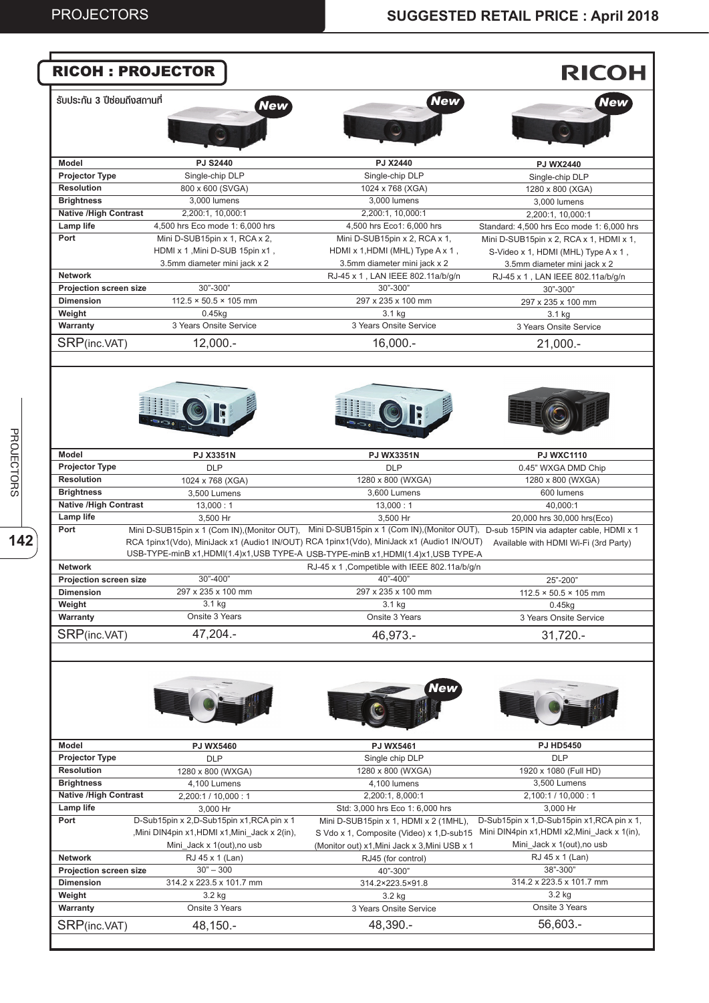|                                                                                                                                                                                                                     | <b>RICOH: PROJECTOR</b>                                                                 |                                                                                                                                                                                                                                                                                                                   | <b>RICOH</b>                                                            |
|---------------------------------------------------------------------------------------------------------------------------------------------------------------------------------------------------------------------|-----------------------------------------------------------------------------------------|-------------------------------------------------------------------------------------------------------------------------------------------------------------------------------------------------------------------------------------------------------------------------------------------------------------------|-------------------------------------------------------------------------|
| ้รับประกัน 3 ปีซ่อมถึงสถานที่                                                                                                                                                                                       | <b>New</b>                                                                              | <b>New</b>                                                                                                                                                                                                                                                                                                        | New                                                                     |
|                                                                                                                                                                                                                     |                                                                                         |                                                                                                                                                                                                                                                                                                                   |                                                                         |
| Model                                                                                                                                                                                                               | <b>PJ S2440</b>                                                                         | PJ X2440                                                                                                                                                                                                                                                                                                          | <b>PJ WX2440</b>                                                        |
| <b>Projector Type</b>                                                                                                                                                                                               | Single-chip DLP                                                                         | Single-chip DLP                                                                                                                                                                                                                                                                                                   | Single-chip DLP                                                         |
| <b>Resolution</b>                                                                                                                                                                                                   | 800 x 600 (SVGA)                                                                        | 1024 x 768 (XGA)                                                                                                                                                                                                                                                                                                  | 1280 x 800 (XGA)                                                        |
| <b>Brightness</b>                                                                                                                                                                                                   | 3,000 lumens                                                                            | 3,000 lumens                                                                                                                                                                                                                                                                                                      | 3,000 lumens                                                            |
| <b>Native /High Contrast</b>                                                                                                                                                                                        | 2,200:1, 10,000:1                                                                       | 2,200:1, 10,000:1                                                                                                                                                                                                                                                                                                 | 2,200:1, 10,000:1                                                       |
| Lamp life                                                                                                                                                                                                           | 4,500 hrs Eco mode 1: 6,000 hrs                                                         | 4,500 hrs Eco1: 6,000 hrs                                                                                                                                                                                                                                                                                         | Standard: 4,500 hrs Eco mode 1: 6,000 hrs                               |
| Port                                                                                                                                                                                                                | Mini D-SUB15pin x 1, RCA x 2,                                                           | Mini D-SUB15pin x 2, RCA x 1,                                                                                                                                                                                                                                                                                     | Mini D-SUB15pin x 2, RCA x 1, HDMI x 1,                                 |
|                                                                                                                                                                                                                     | HDMI x 1, Mini D-SUB 15pin x1,                                                          | HDMI x 1, HDMI (MHL) Type A x 1,                                                                                                                                                                                                                                                                                  | S-Video x 1, HDMI (MHL) Type A x 1,                                     |
| <b>Network</b>                                                                                                                                                                                                      | 3.5mm diameter mini jack x 2                                                            | 3.5mm diameter mini jack x 2                                                                                                                                                                                                                                                                                      | 3.5mm diameter mini jack x 2                                            |
| Projection screen size                                                                                                                                                                                              | 30"-300"                                                                                | RJ-45 x 1, LAN IEEE 802.11a/b/g/n<br>30"-300"                                                                                                                                                                                                                                                                     | RJ-45 x 1, LAN IEEE 802.11a/b/g/n                                       |
| <b>Dimension</b>                                                                                                                                                                                                    | $112.5 \times 50.5 \times 105$ mm                                                       | 297 x 235 x 100 mm                                                                                                                                                                                                                                                                                                | 30"-300"                                                                |
| Weight                                                                                                                                                                                                              | $0.45$ <sub>kg</sub>                                                                    | 3.1 kg                                                                                                                                                                                                                                                                                                            | 297 x 235 x 100 mm                                                      |
| Warranty                                                                                                                                                                                                            | 3 Years Onsite Service                                                                  | 3 Years Onsite Service                                                                                                                                                                                                                                                                                            | 3.1 kg<br>3 Years Onsite Service                                        |
|                                                                                                                                                                                                                     |                                                                                         |                                                                                                                                                                                                                                                                                                                   |                                                                         |
| SRP(inc.VAT)                                                                                                                                                                                                        | $12,000. -$                                                                             | $16,000. -$                                                                                                                                                                                                                                                                                                       | $21,000. -$                                                             |
|                                                                                                                                                                                                                     |                                                                                         |                                                                                                                                                                                                                                                                                                                   |                                                                         |
| <b>Model</b>                                                                                                                                                                                                        | <b>PJ X3351N</b>                                                                        | <b>PJ WX3351N</b>                                                                                                                                                                                                                                                                                                 | <b>PJ WXC1110</b>                                                       |
| <b>Projector Type</b>                                                                                                                                                                                               | <b>DLP</b>                                                                              | <b>DLP</b>                                                                                                                                                                                                                                                                                                        | 0.45" WXGA DMD Chip                                                     |
| <b>Resolution</b>                                                                                                                                                                                                   | 1024 x 768 (XGA)                                                                        | 1280 x 800 (WXGA)                                                                                                                                                                                                                                                                                                 | 1280 x 800 (WXGA)                                                       |
| <b>Brightness</b>                                                                                                                                                                                                   | 3,500 Lumens                                                                            | 3,600 Lumens                                                                                                                                                                                                                                                                                                      | 600 lumens                                                              |
| <b>Native /High Contrast</b>                                                                                                                                                                                        | 13,000:1                                                                                | 13,000:1                                                                                                                                                                                                                                                                                                          | 40,000:1                                                                |
| Lamp life                                                                                                                                                                                                           | 3,500 Hr                                                                                | 3,500 Hr                                                                                                                                                                                                                                                                                                          | 20,000 hrs 30,000 hrs(Eco)                                              |
| Port                                                                                                                                                                                                                |                                                                                         | Mini D-SUB15pin x 1 (Com IN), (Monitor OUT), Mini D-SUB15pin x 1 (Com IN), (Monitor OUT), D-sub 15PIN via adapter cable, HDMI x 1<br>RCA 1pinx1(Vdo), MiniJack x1 (Audio1 IN/OUT) RCA 1pinx1(Vdo), MiniJack x1 (Audio1 IN/OUT)<br>USB-TYPE-minB x1,HDMI(1.4)x1,USB TYPE-A USB-TYPE-minB x1,HDMI(1.4)x1,USB TYPE-A | Available with HDMI Wi-Fi (3rd Party)                                   |
| <b>Network</b>                                                                                                                                                                                                      |                                                                                         | RJ-45 x 1, Competible with IEEE 802.11a/b/g/n                                                                                                                                                                                                                                                                     |                                                                         |
| <b>Projection screen size</b>                                                                                                                                                                                       | 30"-400"                                                                                | 40"-400"                                                                                                                                                                                                                                                                                                          | $25 - 200$                                                              |
| <b>Dimension</b>                                                                                                                                                                                                    | 297 x 235 x 100 mm                                                                      | 297 x 235 x 100 mm                                                                                                                                                                                                                                                                                                | $112.5 \times 50.5 \times 105$ mm                                       |
| Weight                                                                                                                                                                                                              | 3.1 kg                                                                                  | 3.1 kg                                                                                                                                                                                                                                                                                                            | $0.45$ kg                                                               |
| Warranty                                                                                                                                                                                                            | Onsite 3 Years                                                                          | Onsite 3 Years                                                                                                                                                                                                                                                                                                    | 3 Years Onsite Service                                                  |
| SRP(inc.VAT)                                                                                                                                                                                                        | 47,204.-                                                                                | 46,973.-                                                                                                                                                                                                                                                                                                          | $31,720. -$                                                             |
|                                                                                                                                                                                                                     |                                                                                         |                                                                                                                                                                                                                                                                                                                   |                                                                         |
|                                                                                                                                                                                                                     |                                                                                         |                                                                                                                                                                                                                                                                                                                   |                                                                         |
|                                                                                                                                                                                                                     | <b>PJ WX5460</b>                                                                        | <b>PJ WX5461</b>                                                                                                                                                                                                                                                                                                  | <b>PJ HD5450</b>                                                        |
|                                                                                                                                                                                                                     | <b>DLP</b>                                                                              | Single chip DLP                                                                                                                                                                                                                                                                                                   | <b>DLP</b>                                                              |
|                                                                                                                                                                                                                     | 1280 x 800 (WXGA)                                                                       | 1280 x 800 (WXGA)                                                                                                                                                                                                                                                                                                 | 1920 x 1080 (Full HD)                                                   |
|                                                                                                                                                                                                                     | 4,100 Lumens                                                                            | 4,100 lumens                                                                                                                                                                                                                                                                                                      | 3,500 Lumens                                                            |
|                                                                                                                                                                                                                     | 2,200:1 / 10,000:1                                                                      | 2,200:1, 8,000:1                                                                                                                                                                                                                                                                                                  | 2,100:1 / 10,000 : 1                                                    |
|                                                                                                                                                                                                                     | 3,000 Hr                                                                                | Std: 3,000 hrs Eco 1: 6,000 hrs                                                                                                                                                                                                                                                                                   | 3,000 Hr                                                                |
|                                                                                                                                                                                                                     | D-Sub15pin x 2,D-Sub15pin x1,RCA pin x 1<br>,Mini DIN4pin x1,HDMI x1,Mini_Jack x 2(in), | Mini D-SUB15pin x 1, HDMI x 2 (1MHL),<br>S Vdo x 1, Composite (Video) x 1, D-sub15 Mini DIN4pin x1, HDMI x2, Mini_Jack x 1(in),                                                                                                                                                                                   |                                                                         |
|                                                                                                                                                                                                                     | Mini Jack x 1(out), no usb                                                              | (Monitor out) x1, Mini Jack x 3, Mini USB x 1                                                                                                                                                                                                                                                                     | Mini_Jack x 1(out), no usb                                              |
|                                                                                                                                                                                                                     | RJ 45 x 1 (Lan)                                                                         | RJ45 (for control)                                                                                                                                                                                                                                                                                                | RJ 45 x 1 (Lan)                                                         |
|                                                                                                                                                                                                                     | $30" - 300$                                                                             | 40"-300"                                                                                                                                                                                                                                                                                                          | 38"-300"                                                                |
|                                                                                                                                                                                                                     | 314.2 x 223.5 x 101.7 mm                                                                | 314.2×223.5×91.8                                                                                                                                                                                                                                                                                                  | 314.2 x 223.5 x 101.7 mm                                                |
| Model<br><b>Projector Type</b><br><b>Resolution</b><br><b>Brightness</b><br><b>Native /High Contrast</b><br>Lamp life<br>Port<br><b>Network</b><br>Projection screen size<br><b>Dimension</b><br>Weight<br>Warranty | 3.2 kg<br>Onsite 3 Years                                                                | 3.2 kg<br>3 Years Onsite Service                                                                                                                                                                                                                                                                                  | D-Sub15pin x 1, D-Sub15pin x1, RCA pin x 1,<br>3.2 kg<br>Onsite 3 Years |